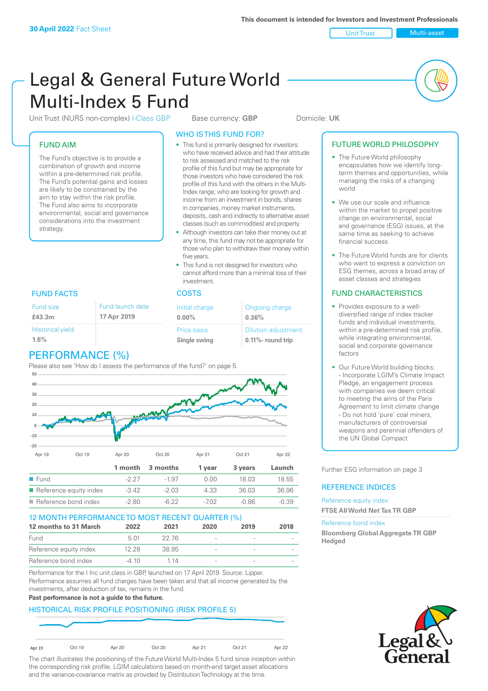Unit Trust Nulti-asset

# Legal & General Future World Multi-Index 5 Fund

Unit Trust (NURS non-complex) I-Class GBP Base currency: **GBP** Domicile: UK

### FUND AIM

The Fund's objective is to provide a combination of growth and income within a pre-determined risk profile. The Fund's potential gains and losses are likely to be constrained by the aim to stay within the risk profile. The Fund also aims to incorporate environmental, social and governance considerations into the investment strategy.

#### WHO IS THIS FUND FOR?

- This fund is primarily designed for investors: who have received advice and had their attitude to risk assessed and matched to the risk profile of this fund but may be appropriate for those investors who have considered the risk profile of this fund with the others in the Multi-Index range; who are looking for growth and income from an investment in bonds, shares in companies, money market instruments, deposits, cash and indirectly to alternative asset classes (such as commodities) and property.
- Although investors can take their money out at any time, this fund may not be appropriate for those who plan to withdraw their money within five years.
- This fund is not designed for investors who cannot afford more than a minimal loss of their investment.

### FUND FACTS COSTS

|     | Fund launch date | Initial charge                     | Ongoing charge                                  |
|-----|------------------|------------------------------------|-------------------------------------------------|
|     | 17 Apr 2019      | $0.00\%$                           | 0.36%                                           |
| eld |                  | <b>Price basis</b><br>Single swing | <b>Dilution adjustment</b><br>0.11%- round trip |

# PERFORMANCE (%)

Fund size **£43.3m**

Historical vi **1.6%**

Please also see 'How do I assess the performance of the fund?' on page 5.



### 12 MONTH PERFORMANCE TO MOST RECENT QUARTER (%)

| 12 months to 31 March  | 2022  | 2021  | 2020 | 2019                     | 2018 |
|------------------------|-------|-------|------|--------------------------|------|
| Fund                   | 5 O1  | 22.76 |      | $\overline{\phantom{a}}$ |      |
| Reference equity index | 12.28 | 38.95 |      | $\overline{\phantom{a}}$ |      |
| Reference bond index   | -4.10 | 1 14  |      |                          |      |

Performance for the I Inc unit class in GBP, launched on 17 April 2019. Source: Lipper. Performance assumes all fund charges have been taken and that all income generated by the investments, after deduction of tax, remains in the fund.

#### **Past performance is not a guide to the future.**

### HISTORICAL RISK PROFILE POSITIONING (RISK PROFILE 5)



The chart illustrates the positioning of the Future World Multi-Index 5 fund since inception within the corresponding risk profile. LGIM calculations based on month-end target asset allocations and the variance-covariance matrix as provided by Distribution Technology at the time.

#### FUTURE WORLD PHILOSOPHY

- The Future World philosophy encapsulates how we identify longterm themes and opportunities, while managing the risks of a changing world
- We use our scale and influence within the market to propel positive change on environmental, social and governance (ESG) issues, at the same time as seeking to achieve financial success
- The Future World funds are for clients who want to express a conviction on ESG themes, across a broad array of asset classes and strategies

### FUND CHARACTERISTICS

- Provides exposure to a welldiversified range of index tracker funds and individual investments, within a pre-determined risk profile while integrating environmental, social and corporate governance factors
- Our Future World building blocks: - Incorporate LGIM's Climate Impact Pledge, an engagement process with companies we deem critical to meeting the aims of the Paris Agreement to limit climate change - Do not hold 'pure' coal miners, manufacturers of controversial weapons and perennial offenders of the UN Global Compact

Further ESG information on page 3

#### REFERENCE INDICES

Reference equity index **FTSE All World Net Tax TR GBP**

#### Reference bond index

**Bloomberg Global Aggregate TR GBP Hedged**

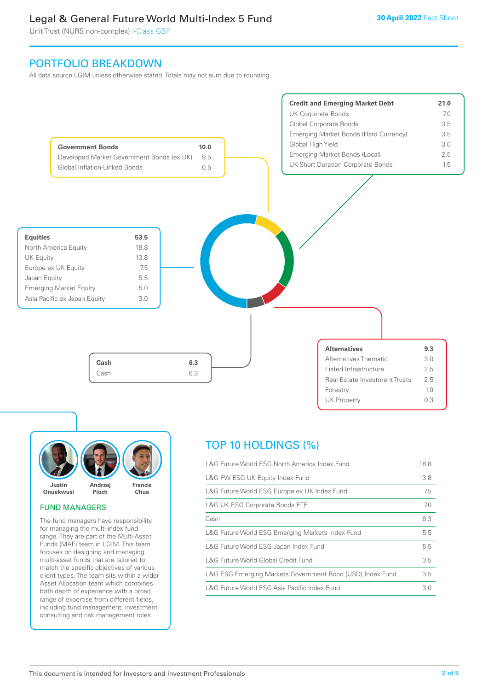Unit Trust (NURS non-complex) I-Class GBP

### PORTFOLIO BREAKDOWN

All data source LGIM unless otherwise stated. Totals may not sum due to rounding.





#### FUND MANAGERS

The fund managers have responsibility for managing the multi-index fund range. They are part of the Multi-Asset Funds (MAF) team in LGIM. This team focuses on designing and managing multi-asset funds that are tailored to match the specific objectives of various client types. The team sits within a wider Asset Allocation team which combines both depth of experience with a broad range of expertise from different fields, including fund management, investment consulting and risk management roles.

# TOP 10 HOLDINGS (%)

| L&G Future World ESG North America Index Fund             | 18.8 |
|-----------------------------------------------------------|------|
| L&G FW ESG UK Equity Index Fund                           | 13.8 |
| L&G Future World ESG Europe ex UK Index Fund              | 7.5  |
| <b>L&amp;G UK ESG Corporate Bonds ETF</b>                 | 7.0  |
| Cash                                                      | 6.3  |
| L&G Future World ESG Emerging Markets Index Fund          | 5.5  |
| L&G Future World ESG Japan Index Fund                     | 5.5  |
| L&G Future World Global Credit Fund                       | 3.5  |
| L&G ESG Emerging Markets Government Bond (USD) Index Fund | 3.5  |
| L&G Future World ESG Asia Pacific Index Fund              | 3.0  |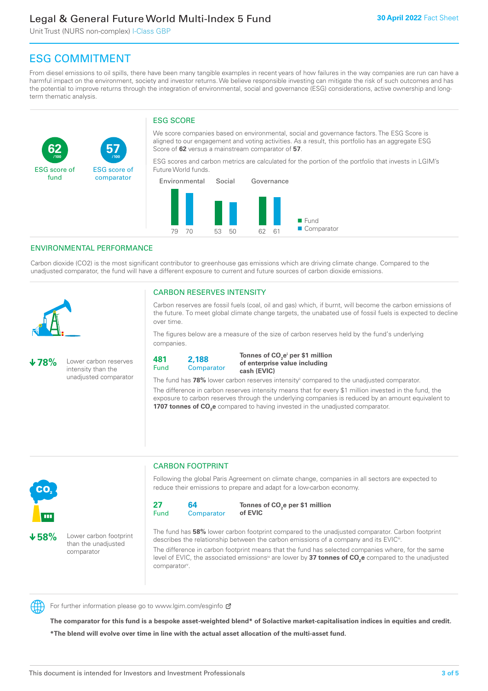Unit Trust (NURS non-complex) I-Class GBP

**57**

ESG score of comparator

# ESG COMMITMENT

From diesel emissions to oil spills, there have been many tangible examples in recent years of how failures in the way companies are run can have a harmful impact on the environment, society and investor returns. We believe responsible investing can mitigate the risk of such outcomes and has the potential to improve returns through the integration of environmental, social and governance (ESG) considerations, active ownership and longterm thematic analysis.

### ESG SCORE

We score companies based on environmental, social and governance factors. The ESG Score is aligned to our engagement and voting activities. As a result, this portfolio has an aggregate ESG Score of **62** versus a mainstream comparator of **57**.

ESG scores and carbon metrics are calculated for the portion of the portfolio that invests in LGIM's Future World funds.



#### ENVIRONMENTAL PERFORMANCE

**/100 /100**

Carbon dioxide (CO2) is the most significant contributor to greenhouse gas emissions which are driving climate change. Compared to the unadjusted comparator, the fund will have a different exposure to current and future sources of carbon dioxide emissions.



**62**

ESG score of fund

#### CARBON RESERVES INTENSITY

Carbon reserves are fossil fuels (coal, oil and gas) which, if burnt, will become the carbon emissions of the future. To meet global climate change targets, the unabated use of fossil fuels is expected to decline over time.

The figures below are a measure of the size of carbon reserves held by the fund's underlying companies.

CO<sub>2</sub>

**78%** Lower carbon reserves intensity than the unadjusted comparator



Tonnes of CO<sub>2</sub>e<sup>i</sup> per \$1 million **of enterprise value including cash (EVIC)**

The fund has 78% lower carbon reserves intensity<sup>ii</sup> compared to the unadjusted comparator.

The difference in carbon reserves intensity means that for every \$1 million invested in the fund, the exposure to carbon reserves through the underlying companies is reduced by an amount equivalent to **1707 tonnes of CO<sub>2</sub>e** compared to having invested in the unadjusted comparator.



**58%** Lower carbon footprint than the unadjusted comparator

# CARBON FOOTPRINT

Following the global Paris Agreement on climate change, companies in all sectors are expected to reduce their emissions to prepare and adapt for a low-carbon economy.



**Tonnes of CO2 e per \$1 million of EVIC**

The fund has **58%** lower carbon footprint compared to the unadjusted comparator. Carbon footprint describes the relationship between the carbon emissions of a company and its EVIC<sup>ii</sup>.

The difference in carbon footprint means that the fund has selected companies where, for the same level of EVIC, the associated emissions<sup>iv</sup> are lower by **37 tonnes of CO<sub>2</sub>e** compared to the unadjusted comparator<sup>v</sup>.



For further information please go to www.lgim.com/esginfo Ø

**The comparator for this fund is a bespoke asset-weighted blend\* of Solactive market-capitalisation indices in equities and credit. \*The blend will evolve over time in line with the actual asset allocation of the multi-asset fund.**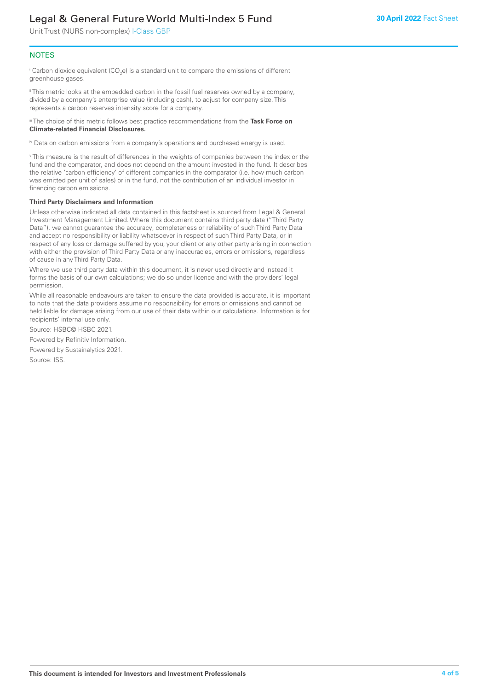Unit Trust (NURS non-complex) I-Class GBP

#### **NOTES**

 $^\mathrm{i}$  Carbon dioxide equivalent (CO<sub>2</sub>e) is a standard unit to compare the emissions of different greenhouse gases.

ii This metric looks at the embedded carbon in the fossil fuel reserves owned by a company, divided by a company's enterprise value (including cash), to adjust for company size. This represents a carbon reserves intensity score for a company.

iii The choice of this metric follows best practice recommendations from the **Task Force on Climate-related Financial Disclosures.**

iv Data on carbon emissions from a company's operations and purchased energy is used.

v This measure is the result of differences in the weights of companies between the index or the fund and the comparator, and does not depend on the amount invested in the fund. It describes the relative 'carbon efficiency' of different companies in the comparator (i.e. how much carbon was emitted per unit of sales) or in the fund, not the contribution of an individual investor in financing carbon emissions.

#### **Third Party Disclaimers and Information**

Unless otherwise indicated all data contained in this factsheet is sourced from Legal & General Investment Management Limited. Where this document contains third party data ("Third Party Data"), we cannot guarantee the accuracy, completeness or reliability of such Third Party Data and accept no responsibility or liability whatsoever in respect of such Third Party Data, or in respect of any loss or damage suffered by you, your client or any other party arising in connection with either the provision of Third Party Data or any inaccuracies, errors or omissions, regardless of cause in any Third Party Data.

Where we use third party data within this document, it is never used directly and instead it forms the basis of our own calculations; we do so under licence and with the providers' legal permission.

While all reasonable endeavours are taken to ensure the data provided is accurate, it is important to note that the data providers assume no responsibility for errors or omissions and cannot be held liable for damage arising from our use of their data within our calculations. Information is for recipients' internal use only.

Source: HSBC© HSBC 2021.

Powered by Refinitiv Information.

Powered by Sustainalytics 2021.

Source: ISS.